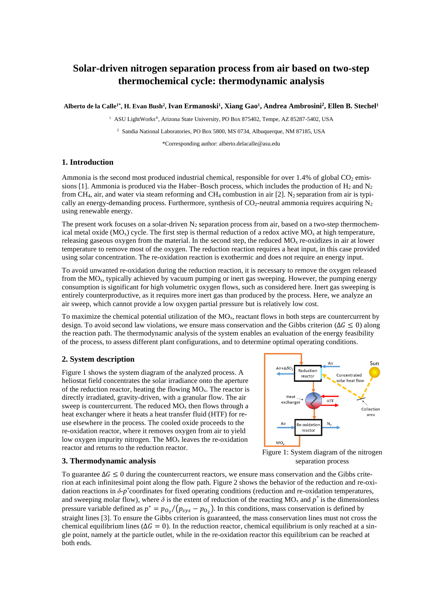# **Solar-driven nitrogen separation process from air based on two-step thermochemical cycle: thermodynamic analysis**

**Alberto de la Calle1\* , H. Evan Bush<sup>2</sup> , Ivan Ermanoski<sup>1</sup> , Xiang Gao<sup>1</sup> , Andrea Ambrosini<sup>2</sup> , Ellen B. Stechel<sup>1</sup>**

<sup>1</sup> ASU LightWorks®, Arizona State University, PO Box 875402, Tempe, AZ 85287-5402, USA

<sup>2</sup> Sandia National Laboratories, PO Box 5800, MS 0734, Albuquerque, NM 87185, USA

\*Corresponding author: alberto.delacalle@asu.edu

#### **1. Introduction**

Ammonia is the second most produced industrial chemical, responsible for over 1.4% of global  $CO<sub>2</sub>$  emissions [1]. Ammonia is produced via the Haber–Bosch process, which includes the production of H<sub>2</sub> and N<sub>2</sub> from CH<sub>4</sub>, air, and water via steam reforming and CH<sub>4</sub> combustion in air [2]. N<sub>2</sub> separation from air is typically an energy-demanding process. Furthermore, synthesis of  $CO<sub>2</sub>$ -neutral ammonia requires acquiring  $N<sub>2</sub>$ using renewable energy.

The present work focuses on a solar-driven  $N_2$  separation process from air, based on a two-step thermochemical metal oxide ( $MO_x$ ) cycle. The first step is thermal reduction of a redox active  $MO_x$  at high temperature, releasing gaseous oxygen from the material. In the second step, the reduced  $MO<sub>x</sub>$  re-oxidizes in air at lower temperature to remove most of the oxygen. The reduction reaction requires a heat input, in this case provided using solar concentration. The re-oxidation reaction is exothermic and does not require an energy input.

To avoid unwanted re-oxidation during the reduction reaction, it is necessary to remove the oxygen released from the  $MO_{x}$ , typically achieved by vacuum pumping or inert gas sweeping. However, the pumping energy consumption is significant for high volumetric oxygen flows, such as considered here. Inert gas sweeping is entirely counterproductive, as it requires more inert gas than produced by the process. Here, we analyze an air sweep, which cannot provide a low oxygen partial pressure but is relatively low cost.

To maximize the chemical potential utilization of the  $MO<sub>x</sub>$ , reactant flows in both steps are countercurrent by design. To avoid second law violations, we ensure mass conservation and the Gibbs criterion ( $\Delta G \le 0$ ) along the reaction path. The thermodynamic analysis of the system enables an evaluation of the energy feasibility of the process, to assess different plant configurations, and to determine optimal operating conditions.

## **2. System description**

[Figure](#page-0-0) 1 shows the system diagram of the analyzed process. A heliostat field concentrates the solar irradiance onto the aperture of the reduction reactor, heating the flowing  $MO_{x}$ . The reactor is directly irradiated, gravity-driven, with a granular flow. The air sweep is countercurrent. The reduced  $MO_x$  then flows through a heat exchanger where it heats a heat transfer fluid (HTF) for reuse elsewhere in the process. The cooled oxide proceeds to the re-oxidation reactor, where it removes oxygen from air to yield low oxygen impurity nitrogen. The  $MO<sub>x</sub>$  leaves the re-oxidation reactor and returns to the reduction reactor.



### **3. Thermodynamic analysis**

To guarantee  $\Delta G \le 0$  during the countercurrent reactors, we ensure mass conservation and the Gibbs criterion at each infinitesimal point along the flow path. [Figure](#page-1-0) 2 shows the behavior of the reduction and re-oxidation reactions in *δ-p \** coordinates for fixed operating conditions (reduction and re-oxidation temperatures, and sweeping molar flow), where  $\delta$  is the extent of reduction of the reacting MO<sub>x</sub> and  $p^*$  is the dimensionless pressure variable defined as  $p^* = p_{0_2}/(p_{sys} - p_{0_2})$ . In this conditions, mass conservation is defined by straight lines [3]. To ensure the Gibbs criterion is guaranteed, the mass conservation lines must not cross the chemical equilibrium lines ( $\Delta G = 0$ ). In the reduction reactor, chemical equilibrium is only reached at a single point, namely at the particle outlet, while in the re-oxidation reactor this equilibrium can be reached at both ends.

<span id="page-0-0"></span>Figure 1: System diagram of the nitrogen separation process